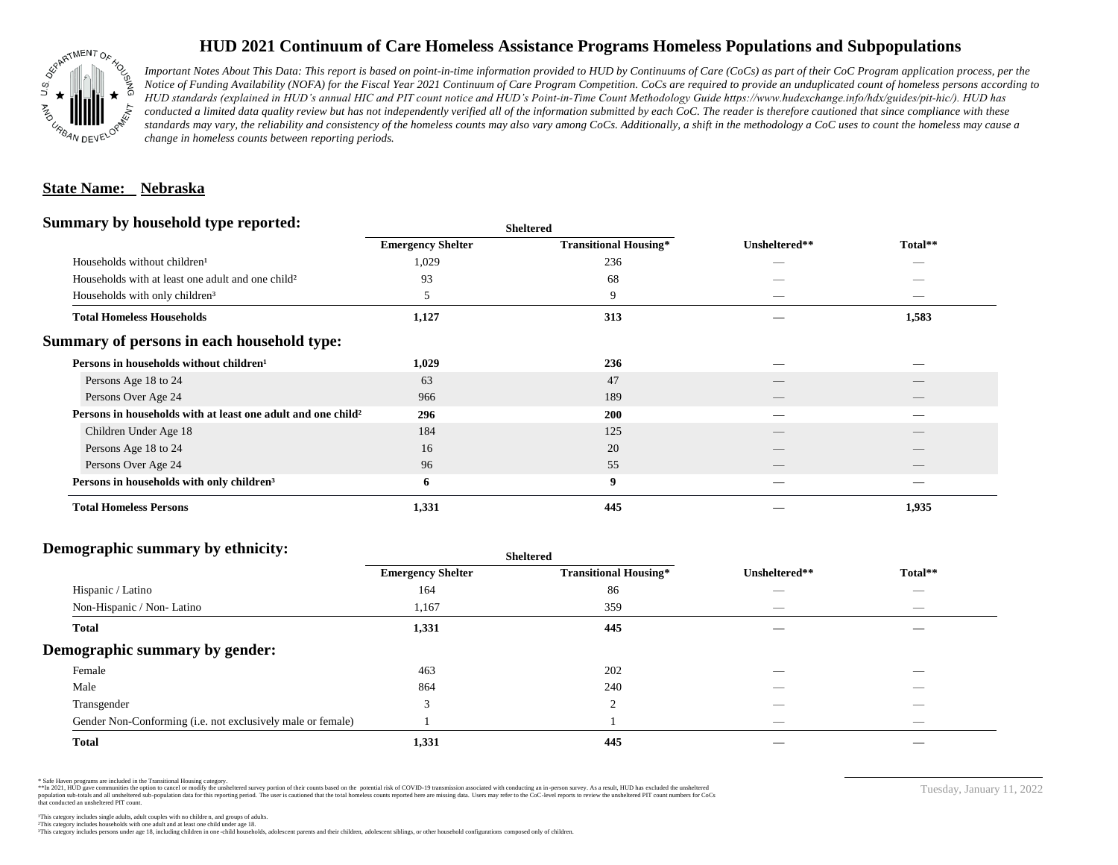

## **HUD 2021 Continuum of Care Homeless Assistance Programs Homeless Populations and Subpopulations**

*Important Notes About This Data: This report is based on point-in-time information provided to HUD by Continuums of Care (CoCs) as part of their CoC Program application process, per the Notice of Funding Availability (NOFA) for the Fiscal Year 2021 Continuum of Care Program Competition. CoCs are required to provide an unduplicated count of homeless persons according to HUD standards (explained in HUD's annual HIC and PIT count notice and HUD's Point-in-Time Count Methodology Guide https://www.hudexchange.info/hdx/guides/pit-hic/). HUD has*  conducted a limited data quality review but has not independently verified all of the information submitted by each CoC. The reader is therefore cautioned that since compliance with these standards may vary, the reliability and consistency of the homeless counts may also vary among CoCs. Additionally, a shift in the methodology a CoC uses to count the homeless may cause a *change in homeless counts between reporting periods.*

#### **State Name: Nebraska**

#### **Summary by household type reported:**

|                                                                          |                          | patter                       |                          |                                 |  |
|--------------------------------------------------------------------------|--------------------------|------------------------------|--------------------------|---------------------------------|--|
|                                                                          | <b>Emergency Shelter</b> | <b>Transitional Housing*</b> | Unsheltered**            | Total**                         |  |
| Households without children <sup>1</sup>                                 | 1,029                    | 236                          |                          | _                               |  |
| Households with at least one adult and one child <sup>2</sup>            | 93                       | 68                           |                          |                                 |  |
| Households with only children <sup>3</sup>                               | 5                        | 9                            |                          | _                               |  |
| <b>Total Homeless Households</b>                                         | 1,127                    | 313                          |                          | 1,583                           |  |
| Summary of persons in each household type:                               |                          |                              |                          |                                 |  |
| Persons in households without children <sup>1</sup>                      | 1,029                    | 236                          |                          |                                 |  |
| Persons Age 18 to 24                                                     | 63                       | 47                           |                          |                                 |  |
| Persons Over Age 24                                                      | 966                      | 189                          | $\overline{\phantom{a}}$ | $\hspace{0.1mm}-\hspace{0.1mm}$ |  |
| Persons in households with at least one adult and one child <sup>2</sup> | 296                      | 200                          |                          |                                 |  |
| Children Under Age 18                                                    | 184                      | 125                          |                          |                                 |  |
| Persons Age 18 to 24                                                     | 16                       | 20                           |                          |                                 |  |
| Persons Over Age 24                                                      | 96                       | 55                           |                          |                                 |  |
| Persons in households with only children <sup>3</sup>                    | 6                        | 9                            |                          |                                 |  |
| <b>Total Homeless Persons</b>                                            | 1,331                    | 445                          |                          | 1,935                           |  |
|                                                                          |                          |                              |                          |                                 |  |

**Sheltered**

## **Demographic summary by ethnicity:**

|                                                             | <b>Sheltered</b>         |                              |                                 |                                |  |
|-------------------------------------------------------------|--------------------------|------------------------------|---------------------------------|--------------------------------|--|
|                                                             | <b>Emergency Shelter</b> | <b>Transitional Housing*</b> | Unsheltered**                   | Total**                        |  |
| Hispanic / Latino                                           | 164                      | 86                           | --                              | $\overbrace{\hspace{25mm}}^{}$ |  |
| Non-Hispanic / Non-Latino                                   | 1,167                    | 359                          | $\hspace{0.05cm}$               | $\overbrace{\hspace{25mm}}^{}$ |  |
| <b>Total</b>                                                | 1,331                    | 445                          |                                 |                                |  |
| Demographic summary by gender:                              |                          |                              |                                 |                                |  |
| Female                                                      | 463                      | 202                          | ___                             | _                              |  |
| Male                                                        | 864                      | 240                          |                                 |                                |  |
| Transgender                                                 | $\mathbf{\mathcal{R}}$   | 2                            |                                 | $\overbrace{\hspace{25mm}}^{}$ |  |
| Gender Non-Conforming (i.e. not exclusively male or female) |                          |                              | $\hspace{0.1mm}-\hspace{0.1mm}$ | $\overbrace{\hspace{25mm}}^{}$ |  |
| <b>Total</b>                                                | 1,331                    | 445                          |                                 |                                |  |

\* Safe Haven programs are included in the Transitional Housing category.

\*\*In 2021, HUD gave communities the option to cancel or modify the unsheltered survey portion of their counts based on the potential risk of COVID-19 transmission associated with conducting an in-person survey. As a result n political data for this reporting period. The user is cautioned that the total homeless counts reported here are missing data. Users may refer to the CoC-level reports to review the unshellered PIT count numbers for CoCs that conducted an unsheltered PIT count.

Tuesday, January 11, 2022